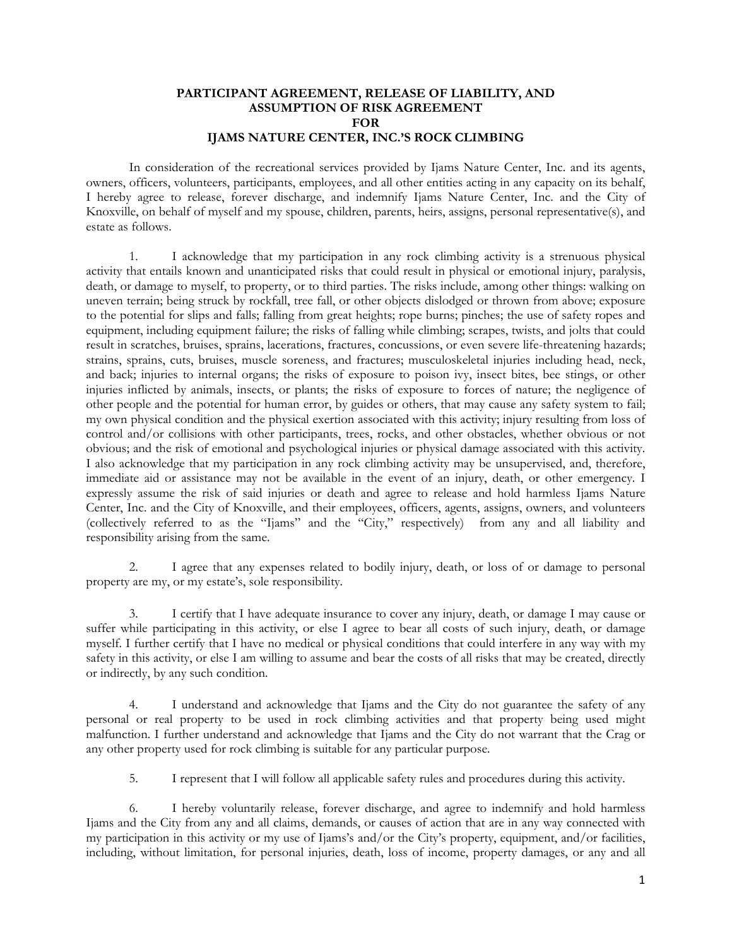## **PARTICIPANT AGREEMENT, RELEASE OF LIABILITY, AND ASSUMPTION OF RISK AGREEMENT FOR IJAMS NATURE CENTER, INC.'S ROCK CLIMBING**

In consideration of the recreational services provided by Ijams Nature Center, Inc. and its agents, owners, officers, volunteers, participants, employees, and all other entities acting in any capacity on its behalf, I hereby agree to release, forever discharge, and indemnify Ijams Nature Center, Inc. and the City of Knoxville, on behalf of myself and my spouse, children, parents, heirs, assigns, personal representative(s), and estate as follows.

1. I acknowledge that my participation in any rock climbing activity is a strenuous physical activity that entails known and unanticipated risks that could result in physical or emotional injury, paralysis, death, or damage to myself, to property, or to third parties. The risks include, among other things: walking on uneven terrain; being struck by rockfall, tree fall, or other objects dislodged or thrown from above; exposure to the potential for slips and falls; falling from great heights; rope burns; pinches; the use of safety ropes and equipment, including equipment failure; the risks of falling while climbing; scrapes, twists, and jolts that could result in scratches, bruises, sprains, lacerations, fractures, concussions, or even severe life-threatening hazards; strains, sprains, cuts, bruises, muscle soreness, and fractures; musculoskeletal injuries including head, neck, and back; injuries to internal organs; the risks of exposure to poison ivy, insect bites, bee stings, or other injuries inflicted by animals, insects, or plants; the risks of exposure to forces of nature; the negligence of other people and the potential for human error, by guides or others, that may cause any safety system to fail; my own physical condition and the physical exertion associated with this activity; injury resulting from loss of control and/or collisions with other participants, trees, rocks, and other obstacles, whether obvious or not obvious; and the risk of emotional and psychological injuries or physical damage associated with this activity. I also acknowledge that my participation in any rock climbing activity may be unsupervised, and, therefore, immediate aid or assistance may not be available in the event of an injury, death, or other emergency. I expressly assume the risk of said injuries or death and agree to release and hold harmless Ijams Nature Center, Inc. and the City of Knoxville, and their employees, officers, agents, assigns, owners, and volunteers (collectively referred to as the "Ijams" and the "City," respectively) from any and all liability and responsibility arising from the same.

2. I agree that any expenses related to bodily injury, death, or loss of or damage to personal property are my, or my estate's, sole responsibility.

3. I certify that I have adequate insurance to cover any injury, death, or damage I may cause or suffer while participating in this activity, or else I agree to bear all costs of such injury, death, or damage myself. I further certify that I have no medical or physical conditions that could interfere in any way with my safety in this activity, or else I am willing to assume and bear the costs of all risks that may be created, directly or indirectly, by any such condition.

4. I understand and acknowledge that Ijams and the City do not guarantee the safety of any personal or real property to be used in rock climbing activities and that property being used might malfunction. I further understand and acknowledge that Ijams and the City do not warrant that the Crag or any other property used for rock climbing is suitable for any particular purpose.

5. I represent that I will follow all applicable safety rules and procedures during this activity.

6. I hereby voluntarily release, forever discharge, and agree to indemnify and hold harmless Ijams and the City from any and all claims, demands, or causes of action that are in any way connected with my participation in this activity or my use of Ijams's and/or the City's property, equipment, and/or facilities, including, without limitation, for personal injuries, death, loss of income, property damages, or any and all